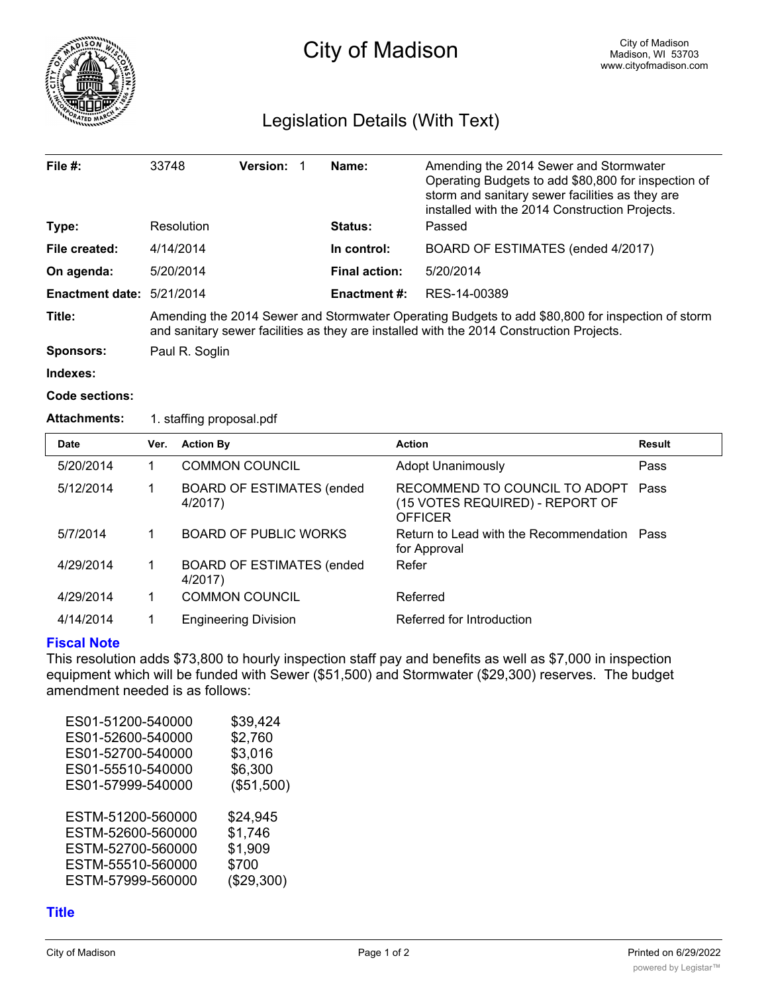

# Legislation Details (With Text)

| File $#$ :                | 33748                                                                                                                                                                                        | <b>Version:</b> |  | Name:                | Amending the 2014 Sewer and Stormwater<br>Operating Budgets to add \$80,800 for inspection of<br>storm and sanitary sewer facilities as they are<br>installed with the 2014 Construction Projects. |
|---------------------------|----------------------------------------------------------------------------------------------------------------------------------------------------------------------------------------------|-----------------|--|----------------------|----------------------------------------------------------------------------------------------------------------------------------------------------------------------------------------------------|
| Type:                     | Resolution                                                                                                                                                                                   |                 |  | <b>Status:</b>       | Passed                                                                                                                                                                                             |
| File created:             | 4/14/2014                                                                                                                                                                                    |                 |  | In control:          | BOARD OF ESTIMATES (ended 4/2017)                                                                                                                                                                  |
| On agenda:                | 5/20/2014                                                                                                                                                                                    |                 |  | <b>Final action:</b> | 5/20/2014                                                                                                                                                                                          |
| Enactment date: 5/21/2014 |                                                                                                                                                                                              |                 |  | <b>Enactment #:</b>  | RES-14-00389                                                                                                                                                                                       |
| Title:                    | Amending the 2014 Sewer and Stormwater Operating Budgets to add \$80,800 for inspection of storm<br>and sanitary sewer facilities as they are installed with the 2014 Construction Projects. |                 |  |                      |                                                                                                                                                                                                    |
| Sponsors:                 | Paul R. Soglin                                                                                                                                                                               |                 |  |                      |                                                                                                                                                                                                    |

**Indexes:**

#### **Code sections:**

### **Attachments:** 1. staffing proposal.pdf

| <b>Date</b> | Ver. | <b>Action By</b>                             | <b>Action</b>                                                                      | <b>Result</b> |
|-------------|------|----------------------------------------------|------------------------------------------------------------------------------------|---------------|
| 5/20/2014   |      | <b>COMMON COUNCIL</b>                        | <b>Adopt Unanimously</b>                                                           | Pass          |
| 5/12/2014   |      | <b>BOARD OF ESTIMATES (ended</b><br>4/2017)  | RECOMMEND TO COUNCIL TO ADOPT<br>(15 VOTES REQUIRED) - REPORT OF<br><b>OFFICER</b> | Pass          |
| 5/7/2014    |      | <b>BOARD OF PUBLIC WORKS</b>                 | Return to Lead with the Recommendation Pass<br>for Approval                        |               |
| 4/29/2014   |      | <b>BOARD OF ESTIMATES (ended)</b><br>4/2017) | Refer                                                                              |               |
| 4/29/2014   |      | <b>COMMON COUNCIL</b>                        | Referred                                                                           |               |
| 4/14/2014   |      | <b>Engineering Division</b>                  | Referred for Introduction                                                          |               |

### **Fiscal Note**

This resolution adds \$73,800 to hourly inspection staff pay and benefits as well as \$7,000 in inspection equipment which will be funded with Sewer (\$51,500) and Stormwater (\$29,300) reserves. The budget amendment needed is as follows:

| ES01-51200-540000 | \$39,424   |
|-------------------|------------|
| ES01-52600-540000 | \$2,760    |
| ES01-52700-540000 | \$3,016    |
| ES01-55510-540000 | \$6,300    |
| ES01-57999-540000 | (\$51,500) |
|                   |            |
| ESTM-51200-560000 | \$24,945   |
| ESTM-52600-560000 | \$1,746    |
| ESTM-52700-560000 | \$1,909    |
| ESTM-55510-560000 | \$700      |
| ESTM-57999-560000 | (\$29,300) |
|                   |            |

## **Title**